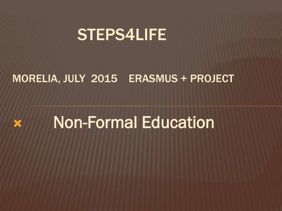## STEPS4LIFE

#### MORELIA, JULY 2015 ERASMUS + PROJECT

# Non-Formal Education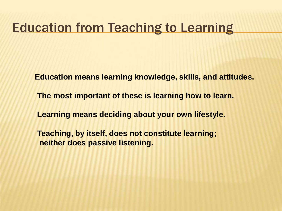## Education from Teaching to Learning

**Education means learning knowledge, skills, and attitudes.** 

**The most important of these is learning how to learn.** 

**Learning means deciding about your own lifestyle.**

**Teaching, by itself, does not constitute learning; neither does passive listening.**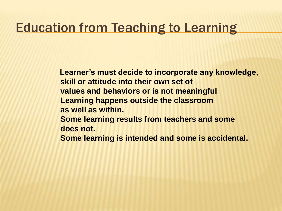## Education from Teaching to Learning

**Learner's must decide to incorporate any knowledge, skill or attitude into their own set of values and behaviors or is not meaningful Learning happens outside the classroom as well as within. Some learning results from teachers and some does not. Some learning is intended and some is accidental.**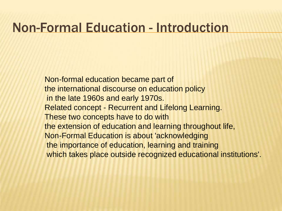## Non-Formal Education - Introduction

Non-formal education became part of the international discourse on education policy in the late 1960s and early 1970s. Related concept - Recurrent and Lifelong Learning. These two concepts have to do with the extension of education and learning throughout life, Non-Formal Education is about 'acknowledging the importance of education, learning and training which takes place outside recognized educational institutions'.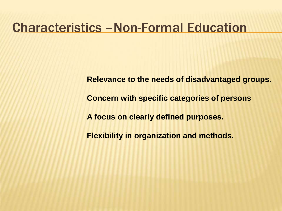## Characteristics –Non-Formal Education

**Relevance to the needs of disadvantaged groups. Concern with specific categories of persons A focus on clearly defined purposes. Flexibility in organization and methods.**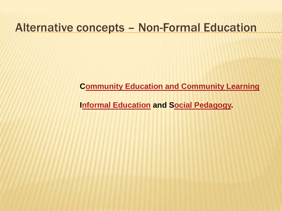#### Alternative concepts – Non-Formal Education

**[Community Education and Community Learning](http://www.infed.org/community/b-comed.htm)**

**[Informal Education](http://www.infed.org/i-intro.htm) and [Social Pedagogy.](http://www.infed.org/biblio/b-socped.htm)**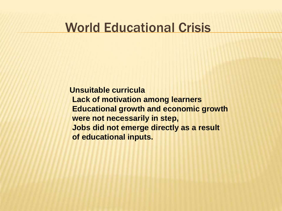### World Educational Crisis

**Unsuitable curricula Lack of motivation among learners Educational growth and economic growth were not necessarily in step, Jobs did not emerge directly as a result of educational inputs.**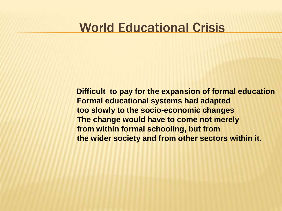#### World Educational Crisis

**Difficult to pay for the expansion of formal education Formal educational systems had adapted too slowly to the socio-economic changes The change would have to come not merely from within formal schooling, but from the wider society and from other sectors within it.**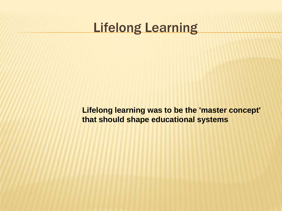## Lifelong Learning

**Lifelong learning was to be the 'master concept' that should shape educational systems**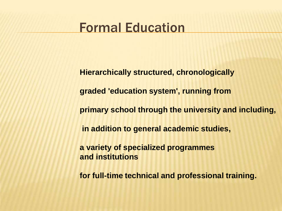### Formal Education

**Hierarchically structured, chronologically graded 'education system', running from primary school through the university and including, in addition to general academic studies, a variety of specialized programmes and institutions**

**for full-time technical and professional training.**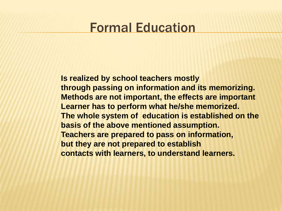### Formal Education

**Is realized by school teachers mostly through passing on information and its memorizing. Methods are not important, the effects are important Learner has to perform what he/she memorized. The whole system of education is established on the basis of the above mentioned assumption. Teachers are prepared to pass on information, but they are not prepared to establish contacts with learners, to understand learners.**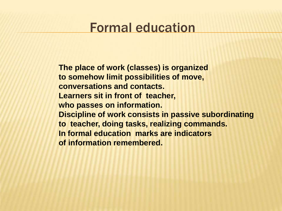## Formal education

**The place of work (classes) is organized to somehow limit possibilities of move, conversations and contacts. Learners sit in front of teacher, who passes on information. Discipline of work consists in passive subordinating to teacher, doing tasks, realizing commands. In formal education marks are indicators of information remembered.**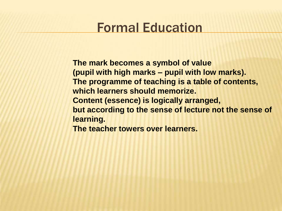## Formal Education

**The mark becomes a symbol of value (pupil with high marks – pupil with low marks). The programme of teaching is a table of contents, which learners should memorize. Content (essence) is logically arranged, but according to the sense of lecture not the sense of learning. The teacher towers over learners.**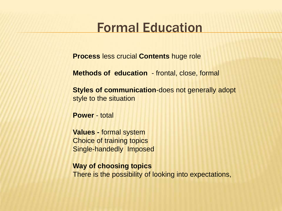### Formal Education

**Process** less crucial **Contents** huge role

**Methods of education** - frontal, close, formal

**Styles of communication**-does not generally adopt style to the situation

**Power** - total

**Values -** formal system Choice of training topics Single-handedly Imposed

**Way of choosing topics** There is the possibility of looking into expectations,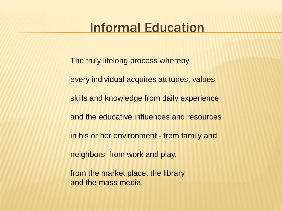## Informal Education

The truly lifelong process whereby every individual acquires attitudes, values, skills and knowledge from daily experience and the educative influences and resources in his or her environment - from family and neighbors, from work and play, from the market place, the library

and the mass media.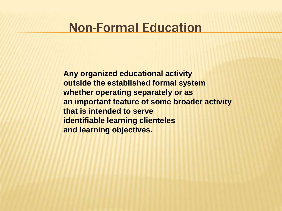**Any organized educational activity outside the established formal system whether operating separately or as an important feature of some broader activity that is intended to serve identifiable learning clienteles and learning objectives.**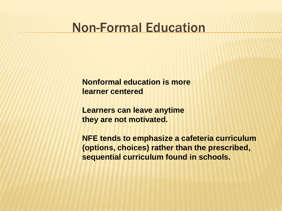**Nonformal education is more learner centered** 

**Learners can leave anytime they are not motivated.** 

**NFE tends to emphasize a cafeteria curriculum (options, choices) rather than the prescribed, sequential curriculum found in schools.**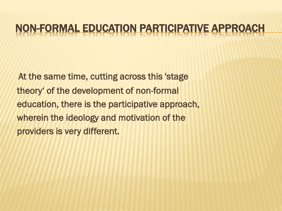## ON-FORMAL EDUCATION PARTICIPATIVE APPROACH

At the same time, cutting across this 'stage theory' of the development of non-formal education, there is the participative approach, wherein the ideology and motivation of the providers is very different.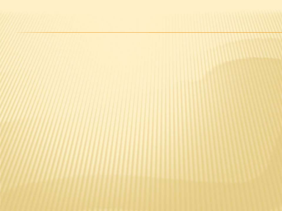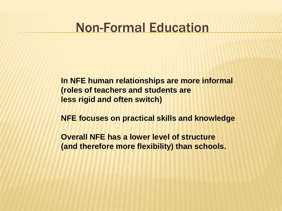**In NFE human relationships are more informal (roles of teachers and students are less rigid and often switch)** 

**NFE focuses on practical skills and knowledge**

**Overall NFE has a lower level of structure (and therefore more flexibility) than schools.**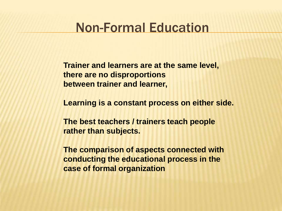**Trainer and learners are at the same level, there are no disproportions between trainer and learner,** 

**Learning is a constant process on either side.** 

**The best teachers / trainers teach people rather than subjects.**

**The comparison of aspects connected with conducting the educational process in the case of formal organization**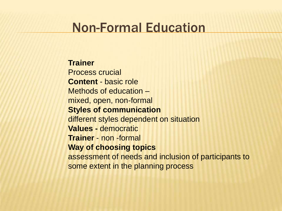**Trainer**  Process crucial **Content** - basic role Methods of education – mixed, open, non-formal **Styles of communication**  different styles dependent on situation **Values -** democratic **Trainer** - non -formal **Way of choosing topics** assessment of needs and inclusion of participants to some extent in the planning process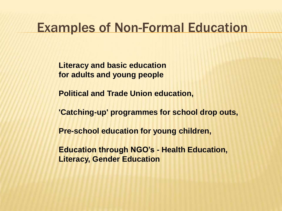## Examples of Non-Formal Education

**Literacy and basic education for adults and young people** 

**Political and Trade Union education,** 

**'Catching-up' programmes for school drop outs,** 

**Pre-school education for young children,** 

**Education through NGO's - Health Education, Literacy, Gender Education**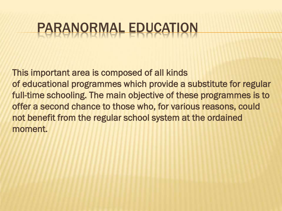## PARANORMAL EDUCATION

This important area is composed of all kinds of educational programmes which provide a substitute for regular full-time schooling. The main objective of these programmes is to offer a second chance to those who, for various reasons, could not benefit from the regular school system at the ordained moment.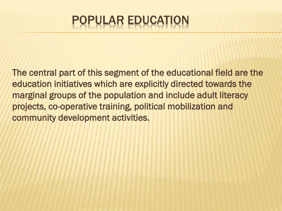## POPULAR EDUCATION

The central part of this segment of the educational field are the education initiatives which are explicitly directed towards the marginal groups of the population and include adult literacy projects, co-operative training, political mobilization and community development activities.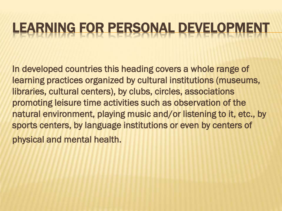# LEARNING FOR PERSONAL DEVELOPMENT

In developed countries this heading covers a whole range of learning practices organized by cultural institutions (museums, libraries, cultural centers), by clubs, circles, associations promoting leisure time activities such as observation of the natural environment, playing music and/or listening to it, etc., by sports centers, by language institutions or even by centers of physical and mental health.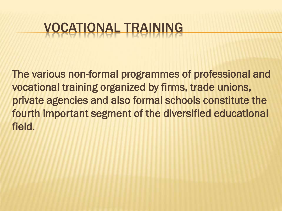# VOCATIONAL TRAINING

The various non-formal programmes of professional and vocational training organized by firms, trade unions, private agencies and also formal schools constitute the fourth important segment of the diversified educational field.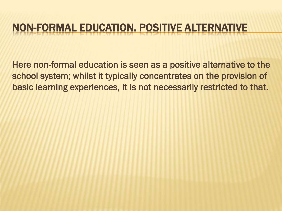#### NON-FORMAL EDUCATION. POSITIVE ALTERNATIVE

Here non-formal education is seen as a positive alternative to the school system; whilst it typically concentrates on the provision of basic learning experiences, it is not necessarily restricted to that.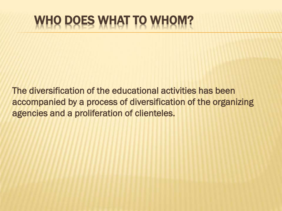## WHO DOES WHAT TO WHOM?

The diversification of the educational activities has been accompanied by a process of diversification of the organizing agencies and a proliferation of clienteles.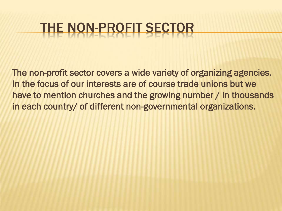# THE NON-PROFIT SECTOR

The non-profit sector covers a wide variety of organizing agencies. In the focus of our interests are of course trade unions but we have to mention churches and the growing number / in thousands in each country/ of different non-governmental organizations.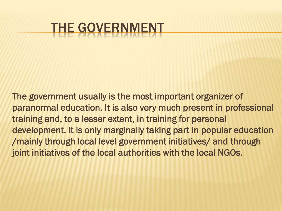# THE GOVERNMENT

The government usually is the most important organizer of paranormal education. It is also very much present in professional training and, to a lesser extent, in training for personal development. It is only marginally taking part in popular education /mainly through local level government initiatives/ and through joint initiatives of the local authorities with the local NGOs.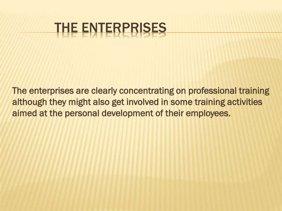# THE ENTERPRISES

The enterprises are clearly concentrating on professional training although they might also get involved in some training activities aimed at the personal development of their employees.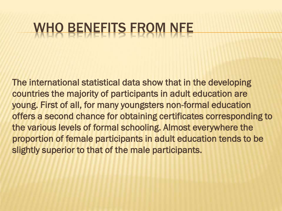# WHO BENEFITS FROM NFE

The international statistical data show that in the developing countries the majority of participants in adult education are young. First of all, for many youngsters non-formal education offers a second chance for obtaining certificates corresponding to the various levels of formal schooling. Almost everywhere the proportion of female participants in adult education tends to be slightly superior to that of the male participants.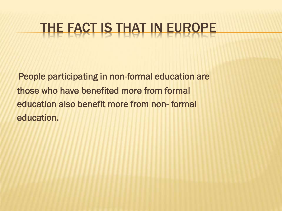# THE FACT IS THAT IN EUROPE

People participating in non-formal education are those who have benefited more from formal education also benefit more from non- formal education.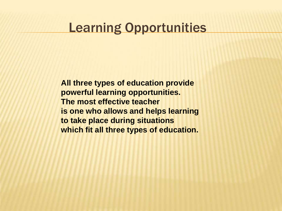### Learning Opportunities

**All three types of education provide powerful learning opportunities. The most effective teacher is one who allows and helps learning to take place during situations which fit all three types of education.**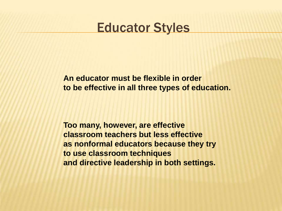#### Educator Styles

**An educator must be flexible in order to be effective in all three types of education.**

**Too many, however, are effective classroom teachers but less effective as nonformal educators because they try to use classroom techniques and directive leadership in both settings.**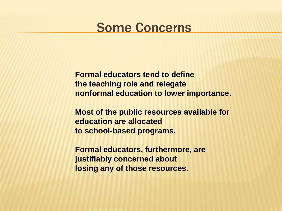#### Some Concerns

**Formal educators tend to define the teaching role and relegate nonformal education to lower importance.** 

**Most of the public resources available for education are allocated to school-based programs.** 

**Formal educators, furthermore, are justifiably concerned about losing any of those resources.**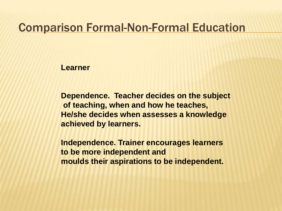#### Comparison Formal-Non-Formal Education

**Learner** 

**Dependence. Teacher decides on the subject of teaching, when and how he teaches, He/she decides when assesses a knowledge achieved by learners.**

**Independence. Trainer encourages learners to be more independent and moulds their aspirations to be independent.**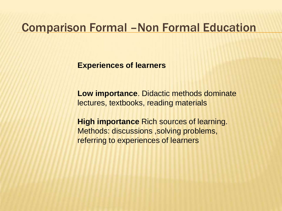#### Comparison Formal –Non Formal Education

**Experiences of learners** 

**Low importance**. Didactic methods dominate lectures, textbooks, reading materials

**High importance** Rich sources of learning. Methods: discussions ,solving problems, referring to experiences of learners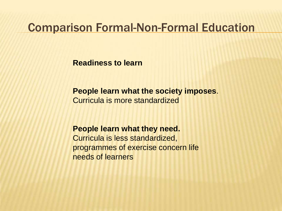#### Comparison Formal-Non-Formal Education

**Readiness to learn** 

**People learn what the society imposes**.

Curricula is more standardized

**People learn what they need.**  Curricula is less standardized, programmes of exercise concern life needs of learners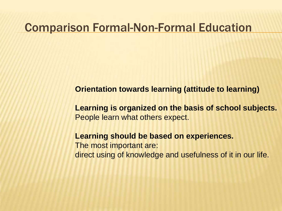#### Comparison Formal-Non-Formal Education

**Orientation towards learning (attitude to learning)** 

**Learning is organized on the basis of school subjects.**  People learn what others expect.

**Learning should be based on experiences.**  The most important are: direct using of knowledge and usefulness of it in our life.